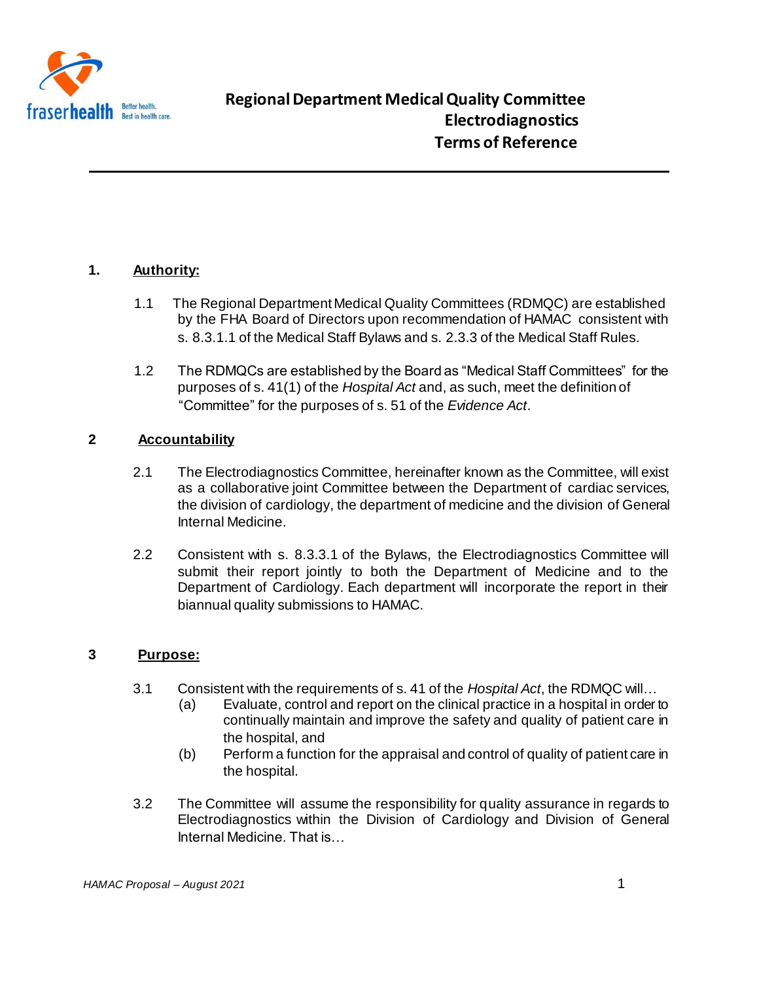

# **1. Authority:**

- 1.1 The Regional Department Medical Quality Committees (RDMQC) are established by the FHA Board of Directors upon recommendation of HAMAC consistent with s. 8.3.1.1 of the Medical Staff Bylaws and s. 2.3.3 of the Medical Staff Rules.
- 1.2 The RDMQCs are established by the Board as "Medical Staff Committees" for the purposes of s. 41(1) of the *Hospital Act* and, as such, meet the definition of "Committee" for the purposes of s. 51 of the *Evidence Act*.

# **2 Accountability**

- 2.1 The Electrodiagnostics Committee, hereinafter known as the Committee, will exist as a collaborative joint Committee between the Department of cardiac services, the division of cardiology, the department of medicine and the division of General Internal Medicine.
- 2.2 Consistent with s. 8.3.3.1 of the Bylaws, the Electrodiagnostics Committee will submit their report jointly to both the Department of Medicine and to the Department of Cardiology. Each department will incorporate the report in their biannual quality submissions to HAMAC.

# **3 Purpose:**

- 3.1 Consistent with the requirements of s. 41 of the *Hospital Act*, the RDMQC will…
	- (a) Evaluate, control and report on the clinical practice in a hospital in order to continually maintain and improve the safety and quality of patient care in the hospital, and
	- (b) Perform a function for the appraisal and control of quality of patient care in the hospital.
- 3.2 The Committee will assume the responsibility for quality assurance in regards to Electrodiagnostics within the Division of Cardiology and Division of General Internal Medicine. That is…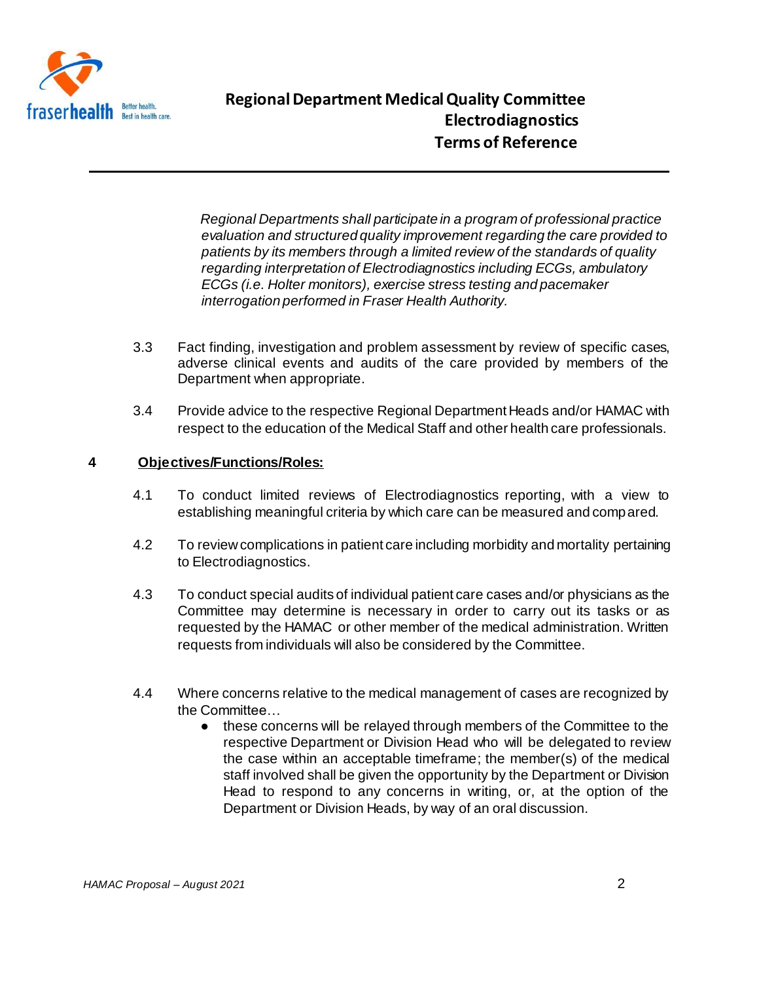

*Regional Departments shall participate in a program of professional practice evaluation and structured quality improvement regarding the care provided to patients by its members through a limited review of the standards of quality regarding interpretation of Electrodiagnostics including ECGs, ambulatory ECGs (i.e. Holter monitors), exercise stress testing and pacemaker interrogation performed in Fraser Health Authority.*

- 3.3 Fact finding, investigation and problem assessment by review of specific cases, adverse clinical events and audits of the care provided by members of the Department when appropriate.
- 3.4 Provide advice to the respective Regional Department Heads and/or HAMAC with respect to the education of the Medical Staff and other health care professionals.

### **4 Objectives/Functions/Roles:**

- 4.1 To conduct limited reviews of Electrodiagnostics reporting, with a view to establishing meaningful criteria by which care can be measured and compared.
- 4.2 To review complications in patient care including morbidity and mortality pertaining to Electrodiagnostics.
- 4.3 To conduct special audits of individual patient care cases and/or physicians as the Committee may determine is necessary in order to carry out its tasks or as requested by the HAMAC or other member of the medical administration. Written requests from individuals will also be considered by the Committee.
- 4.4 Where concerns relative to the medical management of cases are recognized by the Committee…
	- these concerns will be relayed through members of the Committee to the respective Department or Division Head who will be delegated to review the case within an acceptable timeframe; the member(s) of the medical staff involved shall be given the opportunity by the Department or Division Head to respond to any concerns in writing, or, at the option of the Department or Division Heads, by way of an oral discussion.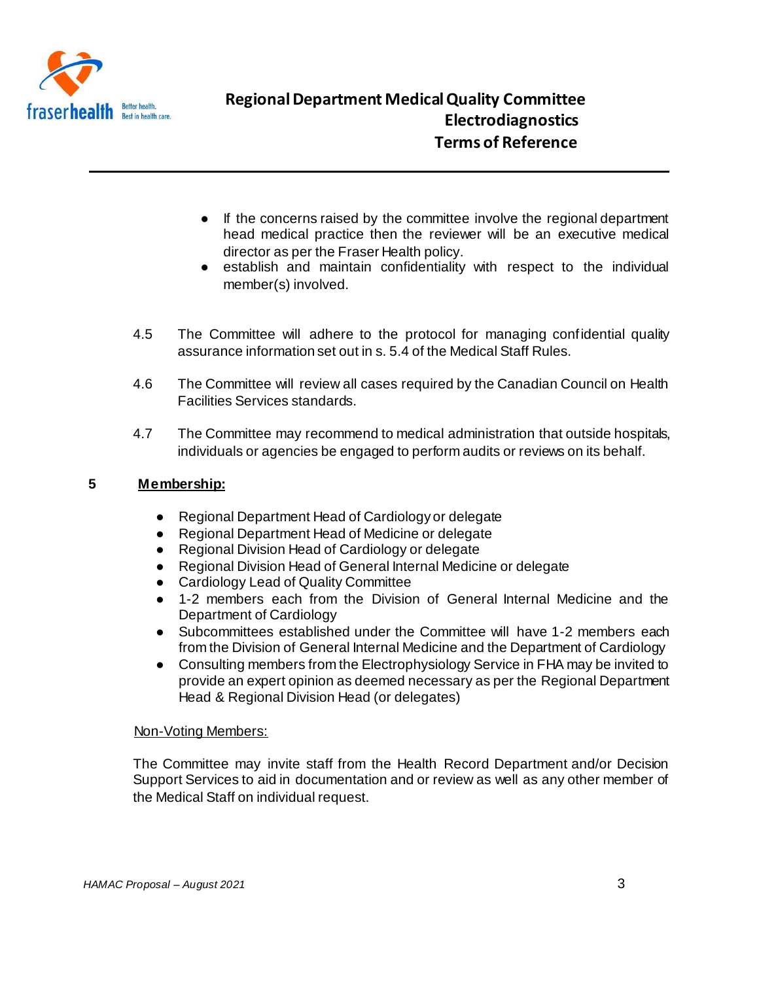

- If the concerns raised by the committee involve the regional department head medical practice then the reviewer will be an executive medical director as per the Fraser Health policy.
- establish and maintain confidentiality with respect to the individual member(s) involved.
- 4.5 The Committee will adhere to the protocol for managing confidential quality assurance information set out in s. 5.4 of the Medical Staff Rules.
- 4.6 The Committee will review all cases required by the Canadian Council on Health Facilities Services standards.
- 4.7 The Committee may recommend to medical administration that outside hospitals, individuals or agencies be engaged to perform audits or reviews on its behalf.

### **5 Membership:**

- Regional Department Head of Cardiology or delegate
- Regional Department Head of Medicine or delegate
- Regional Division Head of Cardiology or delegate
- Regional Division Head of General Internal Medicine or delegate
- Cardiology Lead of Quality Committee
- 1-2 members each from the Division of General Internal Medicine and the Department of Cardiology
- Subcommittees established under the Committee will have 1-2 members each from the Division of General Internal Medicine and the Department of Cardiology
- Consulting members from the Electrophysiology Service in FHA may be invited to provide an expert opinion as deemed necessary as per the Regional Department Head & Regional Division Head (or delegates)

#### Non-Voting Members:

The Committee may invite staff from the Health Record Department and/or Decision Support Services to aid in documentation and or review as well as any other member of the Medical Staff on individual request.